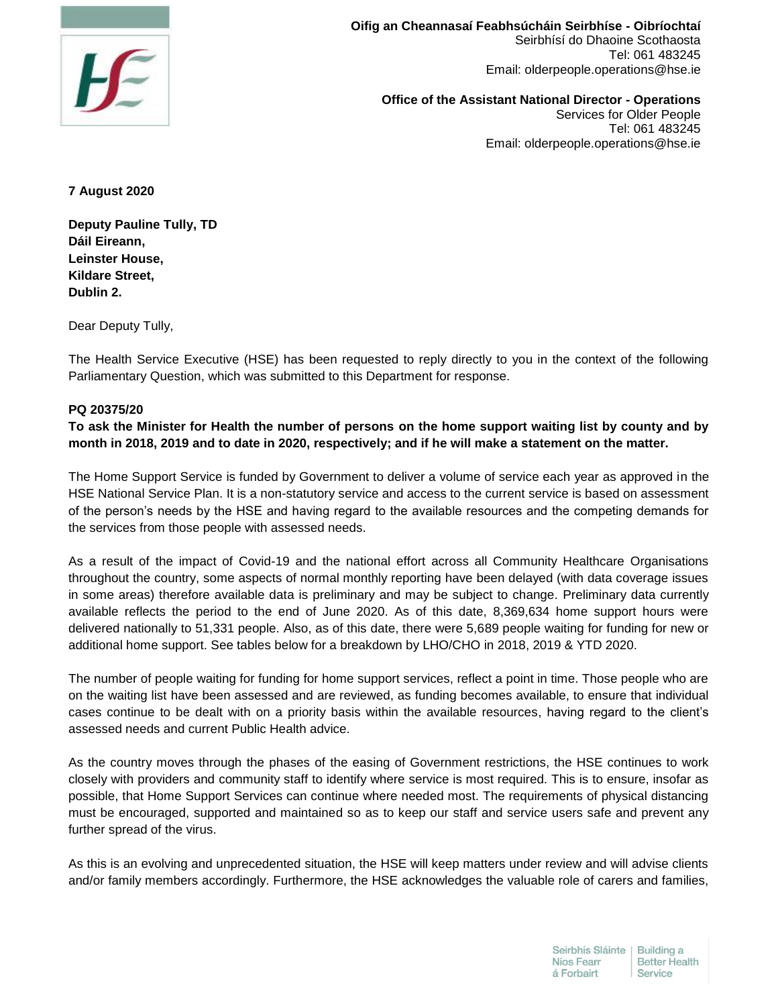

**Oifig an Cheannasaí Feabhsúcháin Seirbhíse - Oibríochtaí**  Seirbhísí do Dhaoine Scothaosta Tel: 061 483245 Email: olderpeople.operations@hse.ie

**Office of the Assistant National Director - Operations**  Services for Older People Tel: 061 483245 Email: olderpeople.operations@hse.ie

**7 August 2020**

**Deputy Pauline Tully, TD Dáil Eireann, Leinster House, Kildare Street, Dublin 2.**

Dear Deputy Tully,

The Health Service Executive (HSE) has been requested to reply directly to you in the context of the following Parliamentary Question, which was submitted to this Department for response.

## **PQ 20375/20**

**To ask the Minister for Health the number of persons on the home support waiting list by county and by month in 2018, 2019 and to date in 2020, respectively; and if he will make a statement on the matter.**

The Home Support Service is funded by Government to deliver a volume of service each year as approved in the HSE National Service Plan. It is a non-statutory service and access to the current service is based on assessment of the person's needs by the HSE and having regard to the available resources and the competing demands for the services from those people with assessed needs.

As a result of the impact of Covid-19 and the national effort across all Community Healthcare Organisations throughout the country, some aspects of normal monthly reporting have been delayed (with data coverage issues in some areas) therefore available data is preliminary and may be subject to change. Preliminary data currently available reflects the period to the end of June 2020. As of this date, 8,369,634 home support hours were delivered nationally to 51,331 people. Also, as of this date, there were 5,689 people waiting for funding for new or additional home support. See tables below for a breakdown by LHO/CHO in 2018, 2019 & YTD 2020.

The number of people waiting for funding for home support services, reflect a point in time. Those people who are on the waiting list have been assessed and are reviewed, as funding becomes available, to ensure that individual cases continue to be dealt with on a priority basis within the available resources, having regard to the client's assessed needs and current Public Health advice.

As the country moves through the phases of the easing of Government restrictions, the HSE continues to work closely with providers and community staff to identify where service is most required. This is to ensure, insofar as possible, that Home Support Services can continue where needed most. The requirements of physical distancing must be encouraged, supported and maintained so as to keep our staff and service users safe and prevent any further spread of the virus.

As this is an evolving and unprecedented situation, the HSE will keep matters under review and will advise clients and/or family members accordingly. Furthermore, the HSE acknowledges the valuable role of carers and families,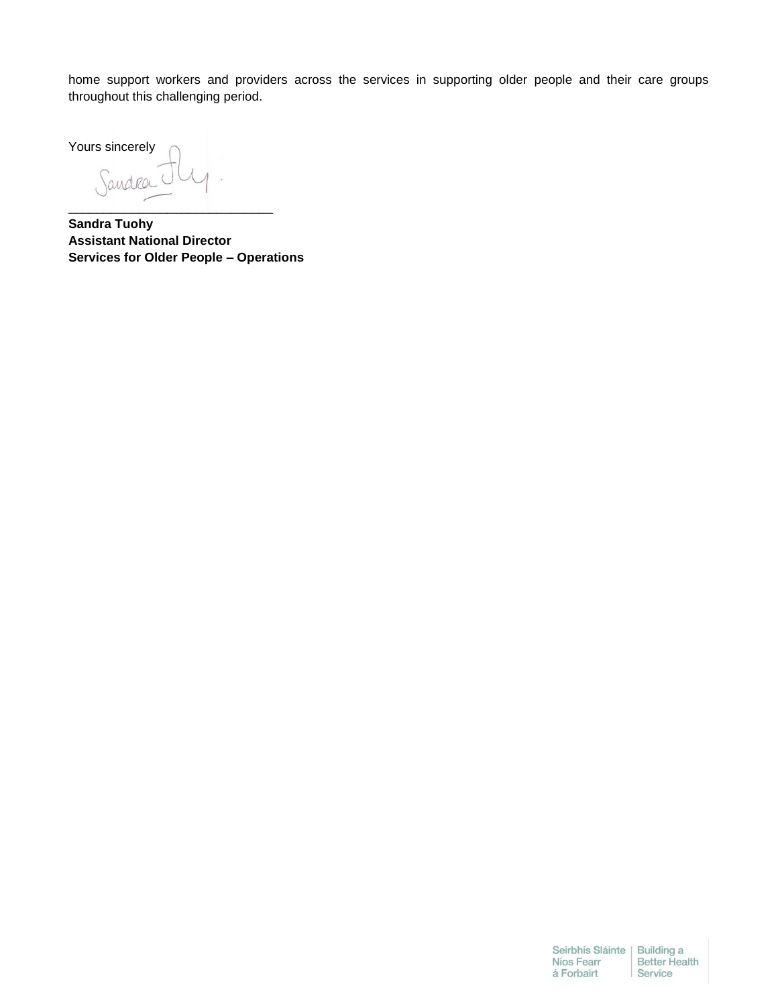home support workers and providers across the services in supporting older people and their care groups throughout this challenging period.

Yours sincerely

Sandra \_\_\_\_\_\_\_\_\_\_\_\_\_\_\_\_\_\_\_\_\_\_\_\_\_\_\_\_\_

**Sandra Tuohy Assistant National Director Services for Older People – Operations**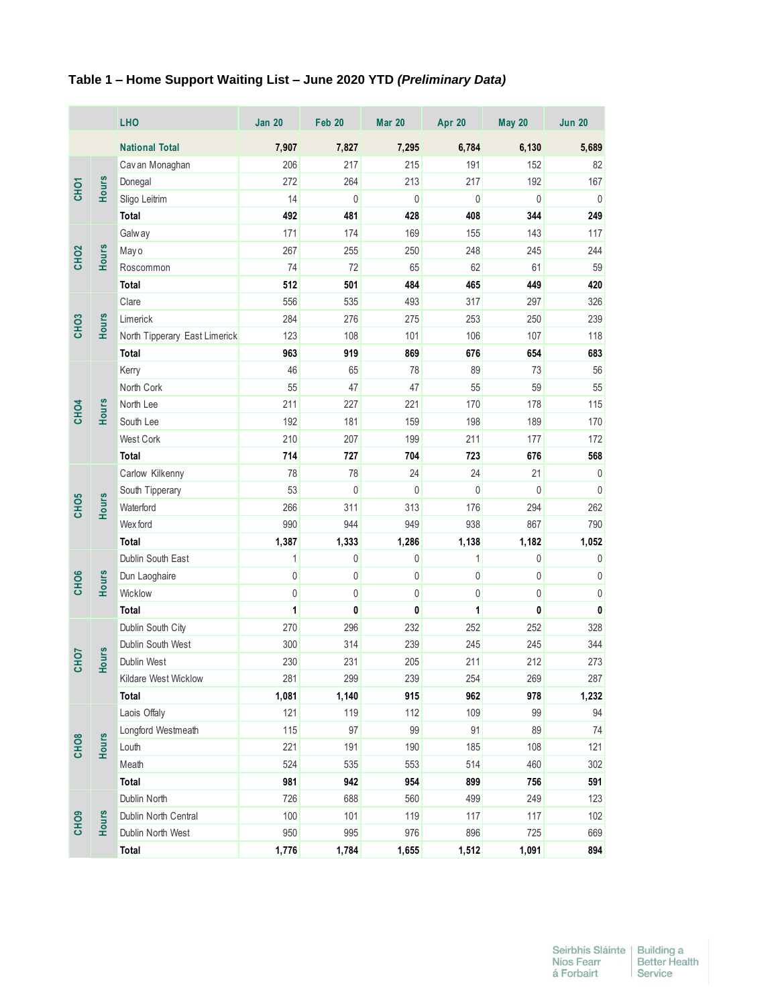## **Table 1 – Home Support Waiting List – June 2020 YTD** *(Preliminary Data)*

|                  |              | <b>LHO</b>                    | <b>Jan 20</b> | Feb 20       | <b>Mar 20</b> | <b>Apr 20</b> | May 20       | <b>Jun 20</b> |
|------------------|--------------|-------------------------------|---------------|--------------|---------------|---------------|--------------|---------------|
|                  |              | <b>National Total</b>         | 7,907         | 7,827        | 7,295         | 6,784         | 6,130        | 5,689         |
|                  |              | Cavan Monaghan                | 206           | 217          | 215           | 191           | 152          | 82            |
|                  |              | Donegal                       | 272           | 264          | 213           | 217           | 192          | 167           |
| CHO              | <b>Hours</b> | Sligo Leitrim                 | 14            | $\mathbf{0}$ | 0             | 0             | 0            | $\mathbf 0$   |
|                  |              | Total                         | 492           | 481          | 428           | 408           | 344          | 249           |
|                  |              | Galway                        | 171           | 174          | 169           | 155           | 143          | 117           |
| CH <sub>O2</sub> | <b>Hours</b> | Mayo                          | 267           | 255          | 250           | 248           | 245          | 244           |
|                  |              | Roscommon                     | 74            | 72           | 65            | 62            | 61           | 59            |
|                  |              | Total                         | 512           | 501          | 484           | 465           | 449          | 420           |
|                  |              | Clare                         | 556           | 535          | 493           | 317           | 297          | 326           |
|                  |              | Limerick                      | 284           | 276          | 275           | 253           | 250          | 239           |
| CHO <sub>3</sub> | <b>Hours</b> | North Tipperary East Limerick | 123           | 108          | 101           | 106           | 107          | 118           |
|                  |              | Total                         | 963           | 919          | 869           | 676           | 654          | 683           |
|                  |              | Kerry                         | 46            | 65           | 78            | 89            | 73           | 56            |
|                  |              | North Cork                    | 55            | 47           | 47            | 55            | 59           | 55            |
| CHO <sub>4</sub> | <b>Hours</b> | North Lee                     | 211           | 227          | 221           | 170           | 178          | 115           |
|                  |              | South Lee                     | 192           | 181          | 159           | 198           | 189          | 170           |
|                  |              | West Cork                     | 210           | 207          | 199           | 211           | 177          | 172           |
|                  |              | <b>Total</b>                  | 714           | 727          | 704           | 723           | 676          | 568           |
|                  |              | Carlow Kilkenny               | 78            | 78           | 24            | 24            | 21           | 0             |
|                  | <b>Hours</b> | South Tipperary               | 53            | $\mathbf 0$  | 0             | 0             | $\mathbf{0}$ | $\mathbf 0$   |
| CHO <sub>5</sub> |              | Waterford                     | 266           | 311          | 313           | 176           | 294          | 262           |
|                  |              | Wex ford                      | 990           | 944          | 949           | 938           | 867          | 790           |
|                  |              | <b>Total</b>                  | 1,387         | 1,333        | 1,286         | 1,138         | 1,182        | 1,052         |
| CHO <sub>6</sub> | Hours        | Dublin South East             | 1             | $\mathbf{0}$ | 0             | 1             | 0            | 0             |
|                  |              | Dun Laoghaire                 | $\mathbf{0}$  | $\mathbf 0$  | 0             | 0             | 0            | 0             |
|                  |              | Wicklow                       | 0             | 0            | 0             | 0             | 0            | 0             |
|                  |              | Total                         | 1             | 0            | 0             | 1             | 0            | 0             |
|                  | <b>Hours</b> | Dublin South City             | 270           | 296          | 232           | 252           | 252          | 328           |
|                  |              | Dublin South West             | 300           | 314          | 239           | 245           | 245          | 344           |
| <b>CHO7</b>      |              | Dublin West                   | 230           | 231          | 205           | 211           | 212          | 273           |
|                  |              | Kildare West Wicklow          | 281           | 299          | 239           | 254           | 269          | 287           |
|                  |              | Total                         | 1,081         | 1,140        | 915           | 962           | 978          | 1,232         |
|                  |              | Laois Offaly                  | 121           | 119          | 112           | 109           | 99           | 94            |
|                  | Hours        | Longford Westmeath            | 115           | 97           | 99            | 91            | 89           | 74            |
| CHO <sub>8</sub> |              | Louth                         | 221           | 191          | 190           | 185           | 108          | 121           |
|                  |              | Meath                         | 524           | 535          | 553           | 514           | 460          | 302           |
|                  |              | Total                         | 981           | 942          | 954           | 899           | 756          | 591           |
|                  |              | Dublin North                  | 726           | 688          | 560           | 499           | 249          | 123           |
| CHO <sub>9</sub> | <b>Hours</b> | Dublin North Central          | 100           | 101          | 119           | 117           | 117          | 102           |
|                  |              | Dublin North West             | 950           | 995          | 976           | 896           | 725          | 669           |
|                  |              | Total                         | 1,776         | 1,784        | 1,655         | 1,512         | 1,091        | 894           |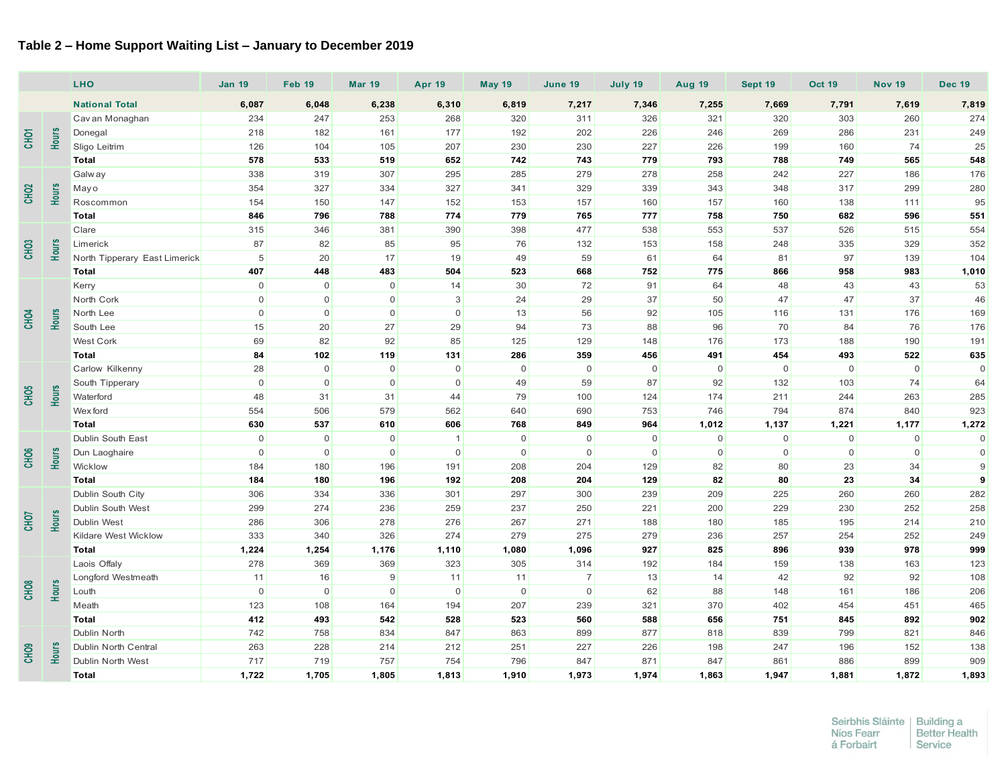## **Table 2 – Home Support Waiting List – January to December 2019**

|                  |              | Table 2 - Home Support Waiting List - January to December 2019 |                     |               |               |                |               |                |                |               |                |               |                |               |
|------------------|--------------|----------------------------------------------------------------|---------------------|---------------|---------------|----------------|---------------|----------------|----------------|---------------|----------------|---------------|----------------|---------------|
|                  |              | <b>LHO</b>                                                     | <b>Jan 19</b>       | <b>Feb 19</b> | <b>Mar 19</b> | <b>Apr 19</b>  | <b>May 19</b> | June 19        | July 19        | <b>Aug 19</b> | Sept 19        | <b>Oct 19</b> | <b>Nov 19</b>  | <b>Dec 19</b> |
|                  |              | <b>National Total</b>                                          | 6,087               | 6,048         | 6,238         | 6,310          | 6,819         | 7,217          | 7,346          | 7,255         | 7,669          | 7,791         | 7,619          | 7,819         |
|                  |              | Cav an Monaghan                                                | 234                 | 247           | 253           | 268            | 320           | 311            | 326            | 321           | 320            | 303           | 260            | 274           |
| Hours<br>CHO     |              | Donegal                                                        | 218                 | 182           | 161           | 177            | 192           | 202            | 226            | 246           | 269            | 286           | 231            | 249           |
|                  |              | Sligo Leitrim                                                  | 126                 | 104           | 105           | 207            | 230           | 230            | 227            | 226           | 199            | 160           | 74             | 25            |
|                  |              | <b>Total</b>                                                   | 578                 | 533           | 519           | 652            | 742           | 743            | 779            | 793           | 788            | 749           | 565            | 548           |
|                  |              | <b>Galway</b>                                                  | 338                 | 319           | 307           | 295            | 285           | 279            | 278            | 258           | 242            | 227           | 186            | 176           |
|                  |              | May o                                                          | 354                 | 327           | 334           | 327            | 341           | 329            | 339            | 343           | 348            | 317           | 299            | 280           |
| CHO <sub>2</sub> | Hours        | Roscommon                                                      | 154                 | 150           | 147           | 152            | 153           | 157            | 160            | 157           | 160            | 138           | 111            | 95            |
|                  |              | Total                                                          | 846                 | 796           | 788           | 774            | 779           | 765            | 777            | 758           | 750            | 682           | 596            | 551           |
|                  |              | Clare                                                          | 315                 | 346           | 381           | 390            | 398           | 477            | 538            | 553           | 537            | 526           | 515            | 554           |
| <b>CHO3</b>      | <b>Hours</b> | Limerick                                                       | 87                  | 82            | 85            | 95             | 76            | 132            | 153            | 158           | 248            | 335           | 329            | 352           |
|                  |              | North Tipperary East Limerick                                  | 5                   | 20            | 17            | 19             | 49            | 59             | 61             | 64            | 81             | 97            | 139            | 104           |
|                  |              | <b>Total</b>                                                   | 407                 | 448           | 483           | 504            | 523           | 668            | 752            | 775           | 866            | 958           | 983            | 1,010         |
|                  |              | Kerry                                                          | $\mathsf 0$         | $\mathbf 0$   | $\mathsf 0$   | 14             | 30            | 72             | 91             | 64            | 48             | 43            | 43             | 53            |
| <b>CHO4</b>      |              | North Cork                                                     | $\mathsf{O}\xspace$ | $\mathsf 0$   | $\mathsf 0$   | 3              | 24            | 29             | 37             | 50            | 47             | 47            | 37             | 46            |
|                  | <b>Hours</b> | North Lee                                                      | $\mathsf{O}\xspace$ | $\mathsf 0$   | $\mathbf 0$   | $\mathbf 0$    | 13            | 56             | 92             | 105           | 116            | 131           | 176            | 169           |
|                  |              | South Lee                                                      | 15                  | 20            | 27            | 29             | 94            | 73             | 88             | 96            | 70             | 84            | 76             | 176           |
|                  |              | West Cork                                                      | 69                  | 82            | 92            | 85             | 125           | 129            | 148            | 176           | 173            | 188           | 190            | 191           |
|                  |              | <b>Total</b>                                                   | 84                  | 102           | 119           | 131            | 286           | 359            | 456            | 491           | 454            | 493           | 522            | 635           |
|                  |              | Carlow Kilkenny                                                | 28                  | $\mathbf 0$   | $\mathsf 0$   | $\mathbf 0$    | $\mathbf 0$   | $\mathbf 0$    | $\overline{0}$ | $\mathbf 0$   | $\mathbf 0$    | $\mathbf 0$   | $\mathbf 0$    | $\Omega$      |
|                  |              | South Tipperary                                                | $\mathsf 0$         | $\mathbf 0$   | $\mathsf 0$   | $\mathsf 0$    | 49            | 59             | 87             | 92            | 132            | 103           | 74             | 64            |
| CHO <sub>5</sub> | <b>Hours</b> | Waterford                                                      | 48                  | 31            | 31            | 44             | 79            | 100            | 124            | 174           | 211            | 244           | 263            | 285           |
|                  |              | Wex ford                                                       | 554                 | 506           | 579           | 562            | 640           | 690            | 753            | 746           | 794            | 874           | 840            | 923           |
|                  |              | <b>Total</b>                                                   | 630                 | 537           | 610           | 606            | 768           | 849            | 964            | 1,012         | 1,137          | 1,221         | 1,177          | 1,272         |
|                  |              | Dublin South East                                              | $\mathsf 0$         | $\mathbf 0$   | $\mathsf 0$   | $\overline{1}$ | $\mathbf 0$   | $\mathbf 0$    | $\overline{0}$ | 0             | $\overline{0}$ | $\mathbf 0$   | $\overline{0}$ | $\mathbf 0$   |
| CHO <sub>6</sub> | Hours        | Dun Laoghaire                                                  | $\mathbf 0$         | $\mathbf 0$   | $\mathsf 0$   | $\mathbf 0$    | $\mathbf 0$   | $\overline{0}$ | $\overline{0}$ | $\mathbf 0$   | $\overline{0}$ | $\mathbf 0$   | $\mathbf 0$    | $\Omega$      |
|                  |              | Wicklow                                                        | 184                 | 180           | 196           | 191            | 208           | 204            | 129            | 82            | 80             | 23            | 34             | 9             |
|                  |              | <b>Total</b>                                                   | 184                 | 180           | 196           | 192            | 208           | 204            | 129            | 82            | 80             | 23            | 34             | 9             |
|                  |              | Dublin South City                                              | 306                 | 334           | 336           | 301            | 297           | 300            | 239            | 209           | 225            | 260           | 260            | 282           |
| Hours<br>CHOT    |              | Dublin South West                                              | 299                 | 274           | 236           | 259            | 237           | 250            | 221            | 200           | 229            | 230           | 252            | 258           |
|                  |              | Dublin West                                                    | 286                 | 306           | 278           | 276            | 267           | 271            | 188            | 180           | 185            | 195           | 214            | 210           |
|                  |              | Kildare West Wicklow                                           | 333                 | 340           | 326           | 274            | 279           | 275            | 279            | 236           | 257            | 254           | 252            | 249           |
|                  |              | <b>Total</b>                                                   | 1,224               | 1,254         | 1,176         | 1,110          | 1,080         | 1,096          | 927            | 825           | 896            | 939           | 978            | 999           |
| CHO <sub>8</sub> |              | Laois Offaly                                                   | 278                 | 369           | 369           | 323            | 305           | 314            | 192            | 184           | 159            | 138           | 163            | 123           |
|                  |              | Longford Westmeath                                             | 11                  | 16            | 9             | 11             | 11            | $\overline{7}$ | 13             | 14            | 42             | 92            | 92             | 108           |
|                  | Hours        | Louth                                                          | $\mathbf 0$         | $\mathbf 0$   | $\mathbf 0$   | $\mathbf 0$    | $\mathbf 0$   | $\overline{0}$ | 62             | 88            | 148            | 161           | 186            | 206           |
|                  |              | Meath                                                          | 123                 | 108           | 164           | 194            | 207           | 239            | 321            | 370           | 402            | 454           | 451            | 465           |
|                  |              | <b>Total</b>                                                   | 412                 | 493           | 542           | 528            | 523           | 560            | 588            | 656           | 751            | 845           | 892            | 902           |
|                  |              | Dublin North                                                   | 742                 | 758           | 834           | 847            | 863           | 899            | 877            | 818           | 839            | 799           | 821            | 846           |
| CHO <sub>9</sub> | <b>Hours</b> | Dublin North Central                                           | 263                 | 228           | 214           | 212            | 251           | 227            | 226            | 198           | 247            | 196           | 152            | 138           |
|                  |              | Dublin North West                                              | 717                 | 719           | 757           | 754            | 796           | 847            | 871            | 847           | 861            | 886           | 899            | 909           |
|                  |              | <b>Total</b>                                                   | 1,722               | 1,705         | 1,805         | 1,813          | 1,910         | 1,973          | 1,974          | 1,863         | 1,947          | 1,881         | 1,872          | 1,893         |

| Seirbhís Sláinte | Building a           |
|------------------|----------------------|
| Níos Fearr       | <b>Better Health</b> |
| á Forbairt       | Service              |